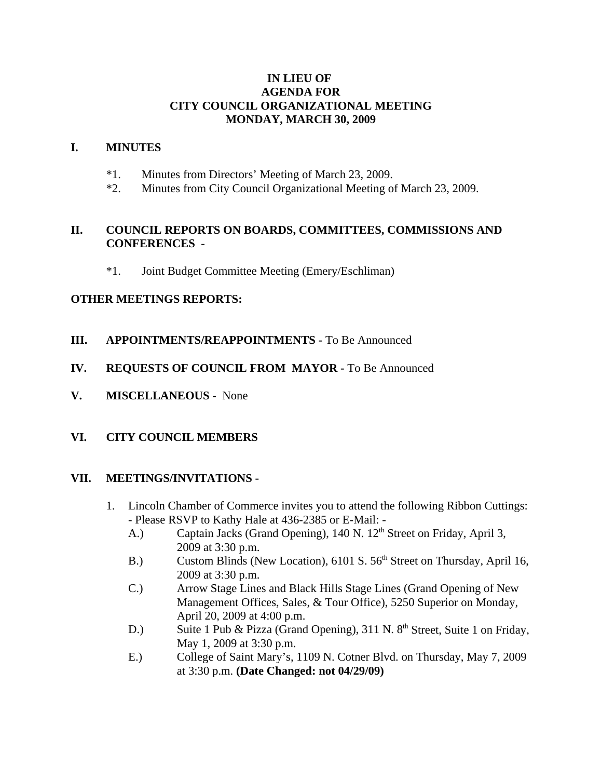#### **IN LIEU OF AGENDA FOR CITY COUNCIL ORGANIZATIONAL MEETING MONDAY, MARCH 30, 2009**

#### **I. MINUTES**

- \*1. Minutes from Directors' Meeting of March 23, 2009.
- \*2. Minutes from City Council Organizational Meeting of March 23, 2009.

## **II. COUNCIL REPORTS ON BOARDS, COMMITTEES, COMMISSIONS AND CONFERENCES** -

\*1. Joint Budget Committee Meeting (Emery/Eschliman)

## **OTHER MEETINGS REPORTS:**

- **III. APPOINTMENTS/REAPPOINTMENTS -** To Be Announced
- **IV. REQUESTS OF COUNCIL FROM MAYOR -** To Be Announced
- **V. MISCELLANEOUS -** None

## **VI. CITY COUNCIL MEMBERS**

## **VII. MEETINGS/INVITATIONS -**

- 1. Lincoln Chamber of Commerce invites you to attend the following Ribbon Cuttings: - Please RSVP to Kathy Hale at 436-2385 or E-Mail: -
	- A.) Captain Jacks (Grand Opening), 140 N. 12<sup>th</sup> Street on Friday, April 3, 2009 at 3:30 p.m.
	- B.) Custom Blinds (New Location), 6101 S. 56<sup>th</sup> Street on Thursday, April 16, 2009 at 3:30 p.m.
	- C.) Arrow Stage Lines and Black Hills Stage Lines (Grand Opening of New Management Offices, Sales, & Tour Office), 5250 Superior on Monday, April 20, 2009 at 4:00 p.m.
	- D.) Suite 1 Pub & Pizza (Grand Opening), 311 N.  $8<sup>th</sup>$  Street, Suite 1 on Friday, May 1, 2009 at 3:30 p.m.
	- E.) College of Saint Mary's, 1109 N. Cotner Blvd. on Thursday, May 7, 2009 at 3:30 p.m. **(Date Changed: not 04/29/09)**